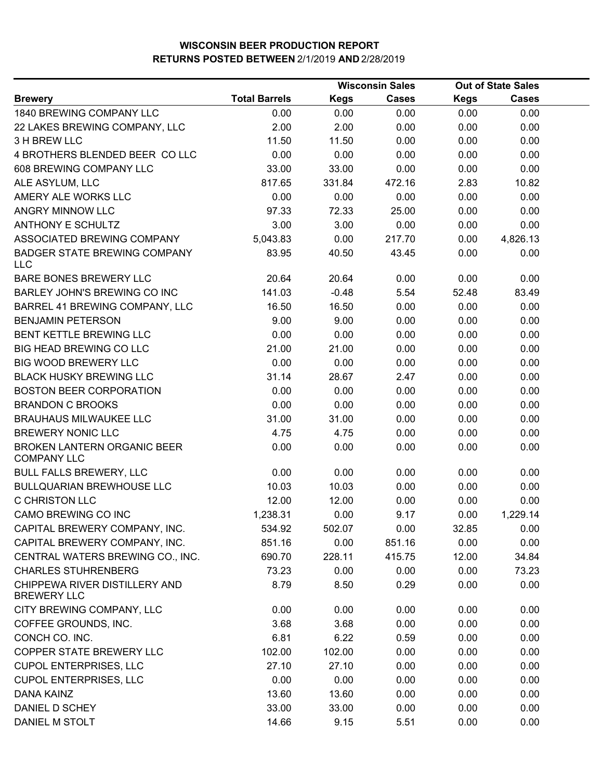|                                                     |                      |             | <b>Wisconsin Sales</b> | <b>Out of State Sales</b> |              |  |
|-----------------------------------------------------|----------------------|-------------|------------------------|---------------------------|--------------|--|
| <b>Brewery</b>                                      | <b>Total Barrels</b> | <b>Kegs</b> | <b>Cases</b>           | <b>Kegs</b>               | <b>Cases</b> |  |
| 1840 BREWING COMPANY LLC                            | 0.00                 | 0.00        | 0.00                   | 0.00                      | 0.00         |  |
| 22 LAKES BREWING COMPANY, LLC                       | 2.00                 | 2.00        | 0.00                   | 0.00                      | 0.00         |  |
| 3 H BREW LLC                                        | 11.50                | 11.50       | 0.00                   | 0.00                      | 0.00         |  |
| 4 BROTHERS BLENDED BEER CO LLC                      | 0.00                 | 0.00        | 0.00                   | 0.00                      | 0.00         |  |
| 608 BREWING COMPANY LLC                             | 33.00                | 33.00       | 0.00                   | 0.00                      | 0.00         |  |
| ALE ASYLUM, LLC                                     | 817.65               | 331.84      | 472.16                 | 2.83                      | 10.82        |  |
| AMERY ALE WORKS LLC                                 | 0.00                 | 0.00        | 0.00                   | 0.00                      | 0.00         |  |
| ANGRY MINNOW LLC                                    | 97.33                | 72.33       | 25.00                  | 0.00                      | 0.00         |  |
| <b>ANTHONY E SCHULTZ</b>                            | 3.00                 | 3.00        | 0.00                   | 0.00                      | 0.00         |  |
| ASSOCIATED BREWING COMPANY                          | 5,043.83             | 0.00        | 217.70                 | 0.00                      | 4,826.13     |  |
| <b>BADGER STATE BREWING COMPANY</b><br><b>LLC</b>   | 83.95                | 40.50       | 43.45                  | 0.00                      | 0.00         |  |
| BARE BONES BREWERY LLC                              | 20.64                | 20.64       | 0.00                   | 0.00                      | 0.00         |  |
| BARLEY JOHN'S BREWING CO INC                        | 141.03               | $-0.48$     | 5.54                   | 52.48                     | 83.49        |  |
| BARREL 41 BREWING COMPANY, LLC                      | 16.50                | 16.50       | 0.00                   | 0.00                      | 0.00         |  |
| <b>BENJAMIN PETERSON</b>                            | 9.00                 | 9.00        | 0.00                   | 0.00                      | 0.00         |  |
| BENT KETTLE BREWING LLC                             | 0.00                 | 0.00        | 0.00                   | 0.00                      | 0.00         |  |
| BIG HEAD BREWING CO LLC                             | 21.00                | 21.00       | 0.00                   | 0.00                      | 0.00         |  |
| <b>BIG WOOD BREWERY LLC</b>                         | 0.00                 | 0.00        | 0.00                   | 0.00                      | 0.00         |  |
| <b>BLACK HUSKY BREWING LLC</b>                      | 31.14                | 28.67       | 2.47                   | 0.00                      | 0.00         |  |
| <b>BOSTON BEER CORPORATION</b>                      | 0.00                 | 0.00        | 0.00                   | 0.00                      | 0.00         |  |
| <b>BRANDON C BROOKS</b>                             | 0.00                 | 0.00        | 0.00                   | 0.00                      | 0.00         |  |
| <b>BRAUHAUS MILWAUKEE LLC</b>                       | 31.00                | 31.00       | 0.00                   | 0.00                      | 0.00         |  |
| <b>BREWERY NONIC LLC</b>                            | 4.75                 | 4.75        | 0.00                   | 0.00                      | 0.00         |  |
| BROKEN LANTERN ORGANIC BEER<br><b>COMPANY LLC</b>   | 0.00                 | 0.00        | 0.00                   | 0.00                      | 0.00         |  |
| <b>BULL FALLS BREWERY, LLC</b>                      | 0.00                 | 0.00        | 0.00                   | 0.00                      | 0.00         |  |
| <b>BULLQUARIAN BREWHOUSE LLC</b>                    | 10.03                | 10.03       | 0.00                   | 0.00                      | 0.00         |  |
| <b>C CHRISTON LLC</b>                               | 12.00                | 12.00       | 0.00                   | 0.00                      | 0.00         |  |
| CAMO BREWING CO INC                                 | 1,238.31             | 0.00        | 9.17                   | 0.00                      | 1,229.14     |  |
| CAPITAL BREWERY COMPANY, INC.                       | 534.92               | 502.07      | 0.00                   | 32.85                     | 0.00         |  |
| CAPITAL BREWERY COMPANY, INC.                       | 851.16               | 0.00        | 851.16                 | 0.00                      | 0.00         |  |
| CENTRAL WATERS BREWING CO., INC.                    | 690.70               | 228.11      | 415.75                 | 12.00                     | 34.84        |  |
| <b>CHARLES STUHRENBERG</b>                          | 73.23                | 0.00        | 0.00                   | 0.00                      | 73.23        |  |
| CHIPPEWA RIVER DISTILLERY AND<br><b>BREWERY LLC</b> | 8.79                 | 8.50        | 0.29                   | 0.00                      | 0.00         |  |
| CITY BREWING COMPANY, LLC                           | 0.00                 | 0.00        | 0.00                   | 0.00                      | 0.00         |  |
| COFFEE GROUNDS, INC.                                | 3.68                 | 3.68        | 0.00                   | 0.00                      | 0.00         |  |
| CONCH CO. INC.                                      | 6.81                 | 6.22        | 0.59                   | 0.00                      | 0.00         |  |
| COPPER STATE BREWERY LLC                            | 102.00               | 102.00      | 0.00                   | 0.00                      | 0.00         |  |
| <b>CUPOL ENTERPRISES, LLC</b>                       | 27.10                | 27.10       | 0.00                   | 0.00                      | 0.00         |  |
| <b>CUPOL ENTERPRISES, LLC</b>                       | 0.00                 | 0.00        | 0.00                   | 0.00                      | 0.00         |  |
| <b>DANA KAINZ</b>                                   | 13.60                | 13.60       | 0.00                   | 0.00                      | 0.00         |  |
| DANIEL D SCHEY                                      | 33.00                | 33.00       | 0.00                   | 0.00                      | 0.00         |  |
| DANIEL M STOLT                                      | 14.66                | 9.15        | 5.51                   | 0.00                      | 0.00         |  |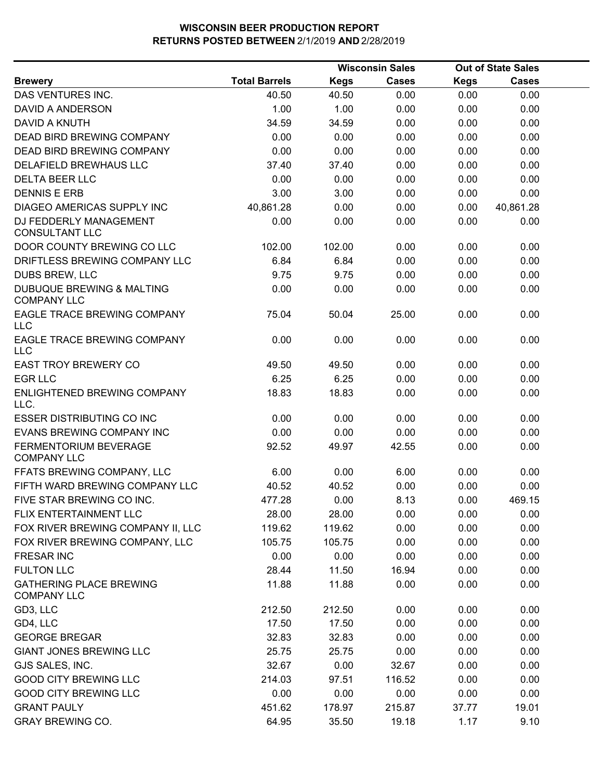|                                                            |                      |             | <b>Wisconsin Sales</b> |             | <b>Out of State Sales</b> |  |  |
|------------------------------------------------------------|----------------------|-------------|------------------------|-------------|---------------------------|--|--|
| <b>Brewery</b>                                             | <b>Total Barrels</b> | <b>Kegs</b> | Cases                  | <b>Kegs</b> | <b>Cases</b>              |  |  |
| DAS VENTURES INC.                                          | 40.50                | 40.50       | 0.00                   | 0.00        | 0.00                      |  |  |
| DAVID A ANDERSON                                           | 1.00                 | 1.00        | 0.00                   | 0.00        | 0.00                      |  |  |
| <b>DAVID A KNUTH</b>                                       | 34.59                | 34.59       | 0.00                   | 0.00        | 0.00                      |  |  |
| <b>DEAD BIRD BREWING COMPANY</b>                           | 0.00                 | 0.00        | 0.00                   | 0.00        | 0.00                      |  |  |
| <b>DEAD BIRD BREWING COMPANY</b>                           | 0.00                 | 0.00        | 0.00                   | 0.00        | 0.00                      |  |  |
| <b>DELAFIELD BREWHAUS LLC</b>                              | 37.40                | 37.40       | 0.00                   | 0.00        | 0.00                      |  |  |
| <b>DELTA BEER LLC</b>                                      | 0.00                 | 0.00        | 0.00                   | 0.00        | 0.00                      |  |  |
| <b>DENNIS E ERB</b>                                        | 3.00                 | 3.00        | 0.00                   | 0.00        | 0.00                      |  |  |
| DIAGEO AMERICAS SUPPLY INC                                 | 40,861.28            | 0.00        | 0.00                   | 0.00        | 40,861.28                 |  |  |
| DJ FEDDERLY MANAGEMENT<br><b>CONSULTANT LLC</b>            | 0.00                 | 0.00        | 0.00                   | 0.00        | 0.00                      |  |  |
| DOOR COUNTY BREWING CO LLC                                 | 102.00               | 102.00      | 0.00                   | 0.00        | 0.00                      |  |  |
| DRIFTLESS BREWING COMPANY LLC                              | 6.84                 | 6.84        | 0.00                   | 0.00        | 0.00                      |  |  |
| DUBS BREW, LLC                                             | 9.75                 | 9.75        | 0.00                   | 0.00        | 0.00                      |  |  |
| <b>DUBUQUE BREWING &amp; MALTING</b><br><b>COMPANY LLC</b> | 0.00                 | 0.00        | 0.00                   | 0.00        | 0.00                      |  |  |
| EAGLE TRACE BREWING COMPANY<br><b>LLC</b>                  | 75.04                | 50.04       | 25.00                  | 0.00        | 0.00                      |  |  |
| EAGLE TRACE BREWING COMPANY<br><b>LLC</b>                  | 0.00                 | 0.00        | 0.00                   | 0.00        | 0.00                      |  |  |
| <b>EAST TROY BREWERY CO</b>                                | 49.50                | 49.50       | 0.00                   | 0.00        | 0.00                      |  |  |
| <b>EGR LLC</b>                                             | 6.25                 | 6.25        | 0.00                   | 0.00        | 0.00                      |  |  |
| ENLIGHTENED BREWING COMPANY<br>LLC.                        | 18.83                | 18.83       | 0.00                   | 0.00        | 0.00                      |  |  |
| <b>ESSER DISTRIBUTING CO INC</b>                           | 0.00                 | 0.00        | 0.00                   | 0.00        | 0.00                      |  |  |
| <b>EVANS BREWING COMPANY INC</b>                           | 0.00                 | 0.00        | 0.00                   | 0.00        | 0.00                      |  |  |
| <b>FERMENTORIUM BEVERAGE</b><br><b>COMPANY LLC</b>         | 92.52                | 49.97       | 42.55                  | 0.00        | 0.00                      |  |  |
| FFATS BREWING COMPANY, LLC                                 | 6.00                 | 0.00        | 6.00                   | 0.00        | 0.00                      |  |  |
| FIFTH WARD BREWING COMPANY LLC                             | 40.52                | 40.52       | 0.00                   | 0.00        | 0.00                      |  |  |
| FIVE STAR BREWING CO INC.                                  | 477.28               | 0.00        | 8.13                   | 0.00        | 469.15                    |  |  |
| FLIX ENTERTAINMENT LLC                                     | 28.00                | 28.00       | 0.00                   | 0.00        | 0.00                      |  |  |
| FOX RIVER BREWING COMPANY II, LLC                          | 119.62               | 119.62      | 0.00                   | 0.00        | 0.00                      |  |  |
| FOX RIVER BREWING COMPANY, LLC                             | 105.75               | 105.75      | 0.00                   | 0.00        | 0.00                      |  |  |
| <b>FRESAR INC</b>                                          | 0.00                 | 0.00        | 0.00                   | 0.00        | 0.00                      |  |  |
| <b>FULTON LLC</b>                                          | 28.44                | 11.50       | 16.94                  | 0.00        | 0.00                      |  |  |
| <b>GATHERING PLACE BREWING</b><br><b>COMPANY LLC</b>       | 11.88                | 11.88       | 0.00                   | 0.00        | 0.00                      |  |  |
| GD3, LLC                                                   | 212.50               | 212.50      | 0.00                   | 0.00        | 0.00                      |  |  |
| GD4, LLC                                                   | 17.50                | 17.50       | 0.00                   | 0.00        | 0.00                      |  |  |
| <b>GEORGE BREGAR</b>                                       | 32.83                | 32.83       | 0.00                   | 0.00        | 0.00                      |  |  |
| <b>GIANT JONES BREWING LLC</b>                             | 25.75                | 25.75       | 0.00                   | 0.00        | 0.00                      |  |  |
| GJS SALES, INC.                                            | 32.67                | 0.00        | 32.67                  | 0.00        | 0.00                      |  |  |
| <b>GOOD CITY BREWING LLC</b>                               | 214.03               | 97.51       | 116.52                 | 0.00        | 0.00                      |  |  |
| <b>GOOD CITY BREWING LLC</b>                               | 0.00                 | 0.00        | 0.00                   | 0.00        | 0.00                      |  |  |
| <b>GRANT PAULY</b>                                         | 451.62               | 178.97      | 215.87                 | 37.77       | 19.01                     |  |  |
| <b>GRAY BREWING CO.</b>                                    | 64.95                | 35.50       | 19.18                  | 1.17        | 9.10                      |  |  |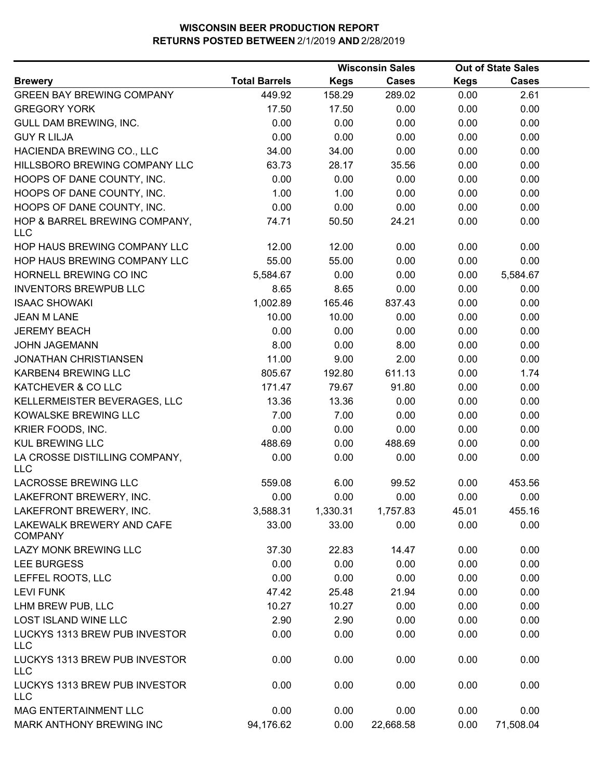|                                             |                      |             | <b>Wisconsin Sales</b> |             | <b>Out of State Sales</b> |  |
|---------------------------------------------|----------------------|-------------|------------------------|-------------|---------------------------|--|
| <b>Brewery</b>                              | <b>Total Barrels</b> | <b>Kegs</b> | <b>Cases</b>           | <b>Kegs</b> | <b>Cases</b>              |  |
| <b>GREEN BAY BREWING COMPANY</b>            | 449.92               | 158.29      | 289.02                 | 0.00        | 2.61                      |  |
| <b>GREGORY YORK</b>                         | 17.50                | 17.50       | 0.00                   | 0.00        | 0.00                      |  |
| GULL DAM BREWING, INC.                      | 0.00                 | 0.00        | 0.00                   | 0.00        | 0.00                      |  |
| <b>GUY R LILJA</b>                          | 0.00                 | 0.00        | 0.00                   | 0.00        | 0.00                      |  |
| HACIENDA BREWING CO., LLC                   | 34.00                | 34.00       | 0.00                   | 0.00        | 0.00                      |  |
| HILLSBORO BREWING COMPANY LLC               | 63.73                | 28.17       | 35.56                  | 0.00        | 0.00                      |  |
| HOOPS OF DANE COUNTY, INC.                  | 0.00                 | 0.00        | 0.00                   | 0.00        | 0.00                      |  |
| HOOPS OF DANE COUNTY, INC.                  | 1.00                 | 1.00        | 0.00                   | 0.00        | 0.00                      |  |
| HOOPS OF DANE COUNTY, INC.                  | 0.00                 | 0.00        | 0.00                   | 0.00        | 0.00                      |  |
| HOP & BARREL BREWING COMPANY,<br><b>LLC</b> | 74.71                | 50.50       | 24.21                  | 0.00        | 0.00                      |  |
| HOP HAUS BREWING COMPANY LLC                | 12.00                | 12.00       | 0.00                   | 0.00        | 0.00                      |  |
| HOP HAUS BREWING COMPANY LLC                | 55.00                | 55.00       | 0.00                   | 0.00        | 0.00                      |  |
| HORNELL BREWING CO INC                      | 5,584.67             | 0.00        | 0.00                   | 0.00        | 5,584.67                  |  |
| <b>INVENTORS BREWPUB LLC</b>                | 8.65                 | 8.65        | 0.00                   | 0.00        | 0.00                      |  |
| <b>ISAAC SHOWAKI</b>                        | 1,002.89             | 165.46      | 837.43                 | 0.00        | 0.00                      |  |
| <b>JEAN M LANE</b>                          | 10.00                | 10.00       | 0.00                   | 0.00        | 0.00                      |  |
| <b>JEREMY BEACH</b>                         | 0.00                 | 0.00        | 0.00                   | 0.00        | 0.00                      |  |
| <b>JOHN JAGEMANN</b>                        | 8.00                 | 0.00        | 8.00                   | 0.00        | 0.00                      |  |
| <b>JONATHAN CHRISTIANSEN</b>                | 11.00                | 9.00        | 2.00                   | 0.00        | 0.00                      |  |
| KARBEN4 BREWING LLC                         | 805.67               | 192.80      | 611.13                 | 0.00        | 1.74                      |  |
| KATCHEVER & CO LLC                          | 171.47               | 79.67       | 91.80                  | 0.00        | 0.00                      |  |
| KELLERMEISTER BEVERAGES, LLC                | 13.36                | 13.36       | 0.00                   | 0.00        | 0.00                      |  |
| KOWALSKE BREWING LLC                        | 7.00                 | 7.00        | 0.00                   | 0.00        | 0.00                      |  |
| KRIER FOODS, INC.                           | 0.00                 | 0.00        | 0.00                   | 0.00        | 0.00                      |  |
| <b>KUL BREWING LLC</b>                      | 488.69               | 0.00        | 488.69                 | 0.00        | 0.00                      |  |
| LA CROSSE DISTILLING COMPANY,<br><b>LLC</b> | 0.00                 | 0.00        | 0.00                   | 0.00        | 0.00                      |  |
| <b>LACROSSE BREWING LLC</b>                 | 559.08               | 6.00        | 99.52                  | 0.00        | 453.56                    |  |
| LAKEFRONT BREWERY, INC.                     | 0.00                 | 0.00        | 0.00                   | 0.00        | 0.00                      |  |
| LAKEFRONT BREWERY, INC.                     | 3,588.31             | 1,330.31    | 1,757.83               | 45.01       | 455.16                    |  |
| LAKEWALK BREWERY AND CAFE<br><b>COMPANY</b> | 33.00                | 33.00       | 0.00                   | 0.00        | 0.00                      |  |
| LAZY MONK BREWING LLC                       | 37.30                | 22.83       | 14.47                  | 0.00        | 0.00                      |  |
| <b>LEE BURGESS</b>                          | 0.00                 | 0.00        | 0.00                   | 0.00        | 0.00                      |  |
| LEFFEL ROOTS, LLC                           | 0.00                 | 0.00        | 0.00                   | 0.00        | 0.00                      |  |
| <b>LEVI FUNK</b>                            | 47.42                | 25.48       | 21.94                  | 0.00        | 0.00                      |  |
| LHM BREW PUB, LLC                           | 10.27                | 10.27       | 0.00                   | 0.00        | 0.00                      |  |
| LOST ISLAND WINE LLC                        | 2.90                 | 2.90        | 0.00                   | 0.00        | 0.00                      |  |
| LUCKYS 1313 BREW PUB INVESTOR<br><b>LLC</b> | 0.00                 | 0.00        | 0.00                   | 0.00        | 0.00                      |  |
| LUCKYS 1313 BREW PUB INVESTOR<br><b>LLC</b> | 0.00                 | 0.00        | 0.00                   | 0.00        | 0.00                      |  |
| LUCKYS 1313 BREW PUB INVESTOR<br><b>LLC</b> | 0.00                 | 0.00        | 0.00                   | 0.00        | 0.00                      |  |
| MAG ENTERTAINMENT LLC                       | 0.00                 | 0.00        | 0.00                   | 0.00        | 0.00                      |  |
| MARK ANTHONY BREWING INC                    | 94,176.62            | 0.00        | 22,668.58              | 0.00        | 71,508.04                 |  |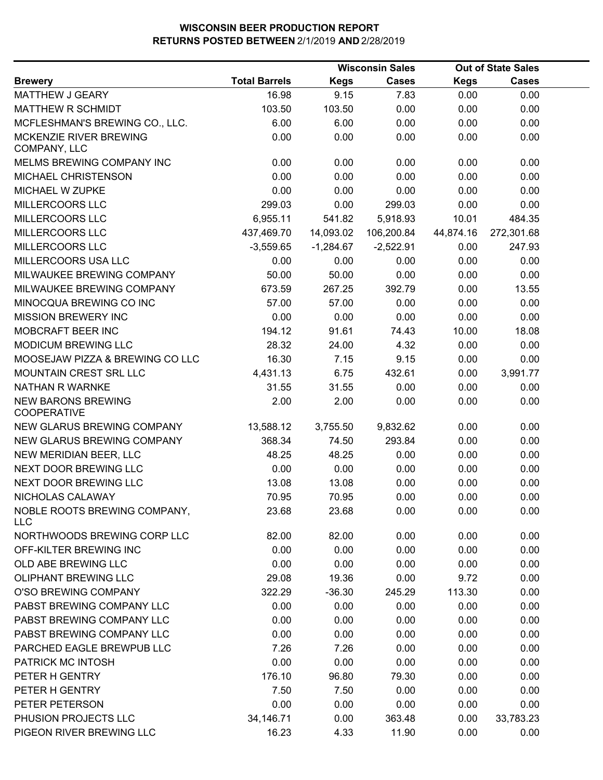|                                            |                      | <b>Wisconsin Sales</b> |              | <b>Out of State Sales</b> |              |  |
|--------------------------------------------|----------------------|------------------------|--------------|---------------------------|--------------|--|
| <b>Brewery</b>                             | <b>Total Barrels</b> | <b>Kegs</b>            | <b>Cases</b> | <b>Kegs</b>               | <b>Cases</b> |  |
| MATTHEW J GEARY                            | 16.98                | 9.15                   | 7.83         | 0.00                      | 0.00         |  |
| MATTHEW R SCHMIDT                          | 103.50               | 103.50                 | 0.00         | 0.00                      | 0.00         |  |
| MCFLESHMAN'S BREWING CO., LLC.             | 6.00                 | 6.00                   | 0.00         | 0.00                      | 0.00         |  |
| MCKENZIE RIVER BREWING<br>COMPANY, LLC     | 0.00                 | 0.00                   | 0.00         | 0.00                      | 0.00         |  |
| MELMS BREWING COMPANY INC                  | 0.00                 | 0.00                   | 0.00         | 0.00                      | 0.00         |  |
| MICHAEL CHRISTENSON                        | 0.00                 | 0.00                   | 0.00         | 0.00                      | 0.00         |  |
| MICHAEL W ZUPKE                            | 0.00                 | 0.00                   | 0.00         | 0.00                      | 0.00         |  |
| MILLERCOORS LLC                            | 299.03               | 0.00                   | 299.03       | 0.00                      | 0.00         |  |
| MILLERCOORS LLC                            | 6,955.11             | 541.82                 | 5,918.93     | 10.01                     | 484.35       |  |
| MILLERCOORS LLC                            | 437,469.70           | 14,093.02              | 106,200.84   | 44,874.16                 | 272,301.68   |  |
| MILLERCOORS LLC                            | $-3,559.65$          | $-1,284.67$            | $-2,522.91$  | 0.00                      | 247.93       |  |
| MILLERCOORS USA LLC                        | 0.00                 | 0.00                   | 0.00         | 0.00                      | 0.00         |  |
| MILWAUKEE BREWING COMPANY                  | 50.00                | 50.00                  | 0.00         | 0.00                      | 0.00         |  |
| MILWAUKEE BREWING COMPANY                  | 673.59               | 267.25                 | 392.79       | 0.00                      | 13.55        |  |
| MINOCQUA BREWING CO INC                    | 57.00                | 57.00                  | 0.00         | 0.00                      | 0.00         |  |
| <b>MISSION BREWERY INC</b>                 | 0.00                 | 0.00                   | 0.00         | 0.00                      | 0.00         |  |
| MOBCRAFT BEER INC                          | 194.12               | 91.61                  | 74.43        | 10.00                     | 18.08        |  |
| MODICUM BREWING LLC                        | 28.32                | 24.00                  | 4.32         | 0.00                      | 0.00         |  |
| MOOSEJAW PIZZA & BREWING CO LLC            | 16.30                | 7.15                   | 9.15         | 0.00                      | 0.00         |  |
| MOUNTAIN CREST SRL LLC                     | 4,431.13             | 6.75                   | 432.61       | 0.00                      | 3,991.77     |  |
| <b>NATHAN R WARNKE</b>                     | 31.55                | 31.55                  | 0.00         | 0.00                      | 0.00         |  |
| <b>NEW BARONS BREWING</b><br>COOPERATIVE   | 2.00                 | 2.00                   | 0.00         | 0.00                      | 0.00         |  |
| NEW GLARUS BREWING COMPANY                 | 13,588.12            | 3,755.50               | 9,832.62     | 0.00                      | 0.00         |  |
| NEW GLARUS BREWING COMPANY                 | 368.34               | 74.50                  | 293.84       | 0.00                      | 0.00         |  |
| NEW MERIDIAN BEER, LLC                     | 48.25                | 48.25                  | 0.00         | 0.00                      | 0.00         |  |
| NEXT DOOR BREWING LLC                      | 0.00                 | 0.00                   | 0.00         | 0.00                      | 0.00         |  |
| NEXT DOOR BREWING LLC                      | 13.08                | 13.08                  | 0.00         | 0.00                      | 0.00         |  |
| NICHOLAS CALAWAY                           | 70.95                | 70.95                  | 0.00         | 0.00                      | 0.00         |  |
| NOBLE ROOTS BREWING COMPANY,<br><b>LLC</b> | 23.68                | 23.68                  | 0.00         | 0.00                      | 0.00         |  |
| NORTHWOODS BREWING CORP LLC                | 82.00                | 82.00                  | 0.00         | 0.00                      | 0.00         |  |
| OFF-KILTER BREWING INC                     | 0.00                 | 0.00                   | 0.00         | 0.00                      | 0.00         |  |
| OLD ABE BREWING LLC                        | 0.00                 | 0.00                   | 0.00         | 0.00                      | 0.00         |  |
| <b>OLIPHANT BREWING LLC</b>                | 29.08                | 19.36                  | 0.00         | 9.72                      | 0.00         |  |
| O'SO BREWING COMPANY                       | 322.29               | $-36.30$               | 245.29       | 113.30                    | 0.00         |  |
| PABST BREWING COMPANY LLC                  | 0.00                 | 0.00                   | 0.00         | 0.00                      | 0.00         |  |
| PABST BREWING COMPANY LLC                  | 0.00                 | 0.00                   | 0.00         | 0.00                      | 0.00         |  |
| PABST BREWING COMPANY LLC                  | 0.00                 | 0.00                   | 0.00         | 0.00                      | 0.00         |  |
| PARCHED EAGLE BREWPUB LLC                  | 7.26                 | 7.26                   | 0.00         | 0.00                      | 0.00         |  |
| PATRICK MC INTOSH                          | 0.00                 | 0.00                   | 0.00         | 0.00                      | 0.00         |  |
| PETER H GENTRY                             | 176.10               | 96.80                  | 79.30        | 0.00                      | 0.00         |  |
| PETER H GENTRY                             | 7.50                 | 7.50                   | 0.00         | 0.00                      | 0.00         |  |
| PETER PETERSON                             | 0.00                 | 0.00                   | 0.00         | 0.00                      | 0.00         |  |
| PHUSION PROJECTS LLC                       | 34,146.71            | 0.00                   | 363.48       | 0.00                      | 33,783.23    |  |
| PIGEON RIVER BREWING LLC                   | 16.23                | 4.33                   | 11.90        | 0.00                      | 0.00         |  |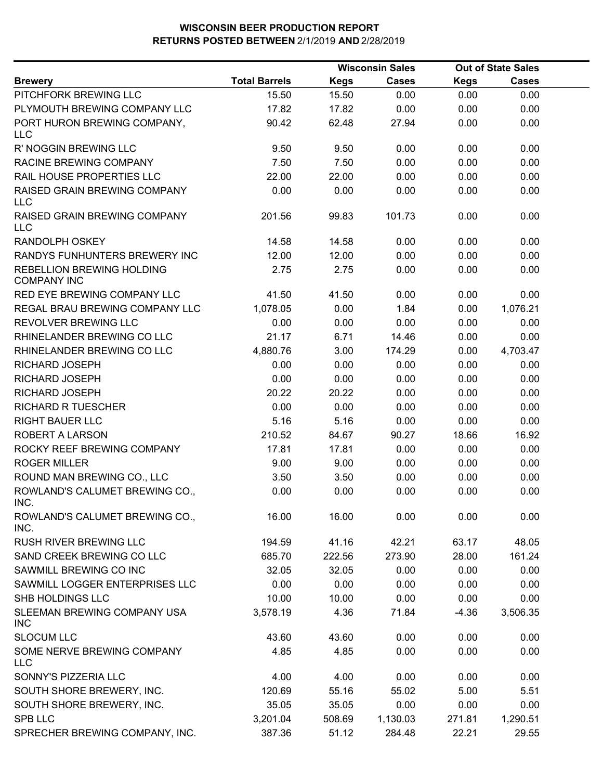|                                                 |                      |             | <b>Wisconsin Sales</b> |             | <b>Out of State Sales</b> |  |
|-------------------------------------------------|----------------------|-------------|------------------------|-------------|---------------------------|--|
| <b>Brewery</b>                                  | <b>Total Barrels</b> | <b>Kegs</b> | <b>Cases</b>           | <b>Kegs</b> | <b>Cases</b>              |  |
| PITCHFORK BREWING LLC                           | 15.50                | 15.50       | 0.00                   | 0.00        | 0.00                      |  |
| PLYMOUTH BREWING COMPANY LLC                    | 17.82                | 17.82       | 0.00                   | 0.00        | 0.00                      |  |
| PORT HURON BREWING COMPANY,<br><b>LLC</b>       | 90.42                | 62.48       | 27.94                  | 0.00        | 0.00                      |  |
| R' NOGGIN BREWING LLC                           | 9.50                 | 9.50        | 0.00                   | 0.00        | 0.00                      |  |
| RACINE BREWING COMPANY                          | 7.50                 | 7.50        | 0.00                   | 0.00        | 0.00                      |  |
| RAIL HOUSE PROPERTIES LLC                       | 22.00                | 22.00       | 0.00                   | 0.00        | 0.00                      |  |
| RAISED GRAIN BREWING COMPANY<br>LLC             | 0.00                 | 0.00        | 0.00                   | 0.00        | 0.00                      |  |
| RAISED GRAIN BREWING COMPANY<br><b>LLC</b>      | 201.56               | 99.83       | 101.73                 | 0.00        | 0.00                      |  |
| RANDOLPH OSKEY                                  | 14.58                | 14.58       | 0.00                   | 0.00        | 0.00                      |  |
| RANDYS FUNHUNTERS BREWERY INC                   | 12.00                | 12.00       | 0.00                   | 0.00        | 0.00                      |  |
| REBELLION BREWING HOLDING<br><b>COMPANY INC</b> | 2.75                 | 2.75        | 0.00                   | 0.00        | 0.00                      |  |
| RED EYE BREWING COMPANY LLC                     | 41.50                | 41.50       | 0.00                   | 0.00        | 0.00                      |  |
| REGAL BRAU BREWING COMPANY LLC                  | 1,078.05             | 0.00        | 1.84                   | 0.00        | 1,076.21                  |  |
| REVOLVER BREWING LLC                            | 0.00                 | 0.00        | 0.00                   | 0.00        | 0.00                      |  |
| RHINELANDER BREWING CO LLC                      | 21.17                | 6.71        | 14.46                  | 0.00        | 0.00                      |  |
| RHINELANDER BREWING CO LLC                      | 4,880.76             | 3.00        | 174.29                 | 0.00        | 4,703.47                  |  |
| RICHARD JOSEPH                                  | 0.00                 | 0.00        | 0.00                   | 0.00        | 0.00                      |  |
| RICHARD JOSEPH                                  | 0.00                 | 0.00        | 0.00                   | 0.00        | 0.00                      |  |
| RICHARD JOSEPH                                  | 20.22                | 20.22       | 0.00                   | 0.00        | 0.00                      |  |
| <b>RICHARD R TUESCHER</b>                       | 0.00                 | 0.00        | 0.00                   | 0.00        | 0.00                      |  |
| <b>RIGHT BAUER LLC</b>                          | 5.16                 | 5.16        | 0.00                   | 0.00        | 0.00                      |  |
| ROBERT A LARSON                                 | 210.52               | 84.67       | 90.27                  | 18.66       | 16.92                     |  |
| ROCKY REEF BREWING COMPANY                      | 17.81                | 17.81       | 0.00                   | 0.00        | 0.00                      |  |
| <b>ROGER MILLER</b>                             | 9.00                 | 9.00        | 0.00                   | 0.00        | 0.00                      |  |
| ROUND MAN BREWING CO., LLC                      | 3.50                 | 3.50        | 0.00                   | 0.00        | 0.00                      |  |
| ROWLAND'S CALUMET BREWING CO.,<br>INC.          | 0.00                 | 0.00        | 0.00                   | 0.00        | 0.00                      |  |
| ROWLAND'S CALUMET BREWING CO.,<br>INC.          | 16.00                | 16.00       | 0.00                   | 0.00        | 0.00                      |  |
| RUSH RIVER BREWING LLC                          | 194.59               | 41.16       | 42.21                  | 63.17       | 48.05                     |  |
| SAND CREEK BREWING CO LLC                       | 685.70               | 222.56      | 273.90                 | 28.00       | 161.24                    |  |
| SAWMILL BREWING CO INC                          | 32.05                | 32.05       | 0.00                   | 0.00        | 0.00                      |  |
| SAWMILL LOGGER ENTERPRISES LLC                  | 0.00                 | 0.00        | 0.00                   | 0.00        | 0.00                      |  |
| SHB HOLDINGS LLC                                | 10.00                | 10.00       | 0.00                   | 0.00        | 0.00                      |  |
| SLEEMAN BREWING COMPANY USA<br><b>INC</b>       | 3,578.19             | 4.36        | 71.84                  | $-4.36$     | 3,506.35                  |  |
| <b>SLOCUM LLC</b>                               | 43.60                | 43.60       | 0.00                   | 0.00        | 0.00                      |  |
| SOME NERVE BREWING COMPANY<br><b>LLC</b>        | 4.85                 | 4.85        | 0.00                   | 0.00        | 0.00                      |  |
| SONNY'S PIZZERIA LLC                            | 4.00                 | 4.00        | 0.00                   | 0.00        | 0.00                      |  |
| SOUTH SHORE BREWERY, INC.                       | 120.69               | 55.16       | 55.02                  | 5.00        | 5.51                      |  |
| SOUTH SHORE BREWERY, INC.                       | 35.05                | 35.05       | 0.00                   | 0.00        | 0.00                      |  |
| <b>SPB LLC</b>                                  | 3,201.04             | 508.69      | 1,130.03               | 271.81      | 1,290.51                  |  |
| SPRECHER BREWING COMPANY, INC.                  | 387.36               | 51.12       | 284.48                 | 22.21       | 29.55                     |  |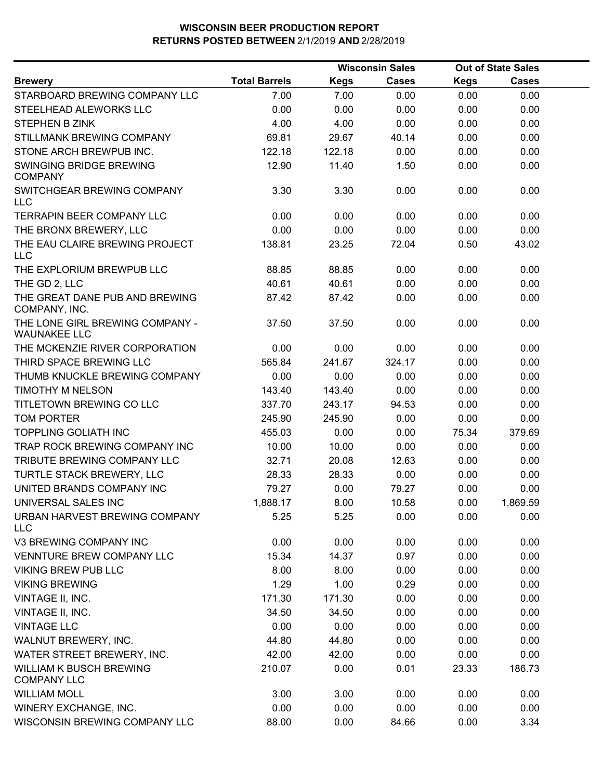|                                                        |                      |             | <b>Wisconsin Sales</b> |             | <b>Out of State Sales</b> |  |
|--------------------------------------------------------|----------------------|-------------|------------------------|-------------|---------------------------|--|
| <b>Brewery</b>                                         | <b>Total Barrels</b> | <b>Kegs</b> | Cases                  | <b>Kegs</b> | <b>Cases</b>              |  |
| STARBOARD BREWING COMPANY LLC                          | 7.00                 | 7.00        | 0.00                   | 0.00        | 0.00                      |  |
| STEELHEAD ALEWORKS LLC                                 | 0.00                 | 0.00        | 0.00                   | 0.00        | 0.00                      |  |
| <b>STEPHEN B ZINK</b>                                  | 4.00                 | 4.00        | 0.00                   | 0.00        | 0.00                      |  |
| STILLMANK BREWING COMPANY                              | 69.81                | 29.67       | 40.14                  | 0.00        | 0.00                      |  |
| STONE ARCH BREWPUB INC.                                | 122.18               | 122.18      | 0.00                   | 0.00        | 0.00                      |  |
| SWINGING BRIDGE BREWING<br><b>COMPANY</b>              | 12.90                | 11.40       | 1.50                   | 0.00        | 0.00                      |  |
| SWITCHGEAR BREWING COMPANY<br><b>LLC</b>               | 3.30                 | 3.30        | 0.00                   | 0.00        | 0.00                      |  |
| <b>TERRAPIN BEER COMPANY LLC</b>                       | 0.00                 | 0.00        | 0.00                   | 0.00        | 0.00                      |  |
| THE BRONX BREWERY, LLC                                 | 0.00                 | 0.00        | 0.00                   | 0.00        | 0.00                      |  |
| THE EAU CLAIRE BREWING PROJECT<br><b>LLC</b>           | 138.81               | 23.25       | 72.04                  | 0.50        | 43.02                     |  |
| THE EXPLORIUM BREWPUB LLC                              | 88.85                | 88.85       | 0.00                   | 0.00        | 0.00                      |  |
| THE GD 2, LLC                                          | 40.61                | 40.61       | 0.00                   | 0.00        | 0.00                      |  |
| THE GREAT DANE PUB AND BREWING<br>COMPANY, INC.        | 87.42                | 87.42       | 0.00                   | 0.00        | 0.00                      |  |
| THE LONE GIRL BREWING COMPANY -<br><b>WAUNAKEE LLC</b> | 37.50                | 37.50       | 0.00                   | 0.00        | 0.00                      |  |
| THE MCKENZIE RIVER CORPORATION                         | 0.00                 | 0.00        | 0.00                   | 0.00        | 0.00                      |  |
| THIRD SPACE BREWING LLC                                | 565.84               | 241.67      | 324.17                 | 0.00        | 0.00                      |  |
| THUMB KNUCKLE BREWING COMPANY                          | 0.00                 | 0.00        | 0.00                   | 0.00        | 0.00                      |  |
| TIMOTHY M NELSON                                       | 143.40               | 143.40      | 0.00                   | 0.00        | 0.00                      |  |
| TITLETOWN BREWING CO LLC                               | 337.70               | 243.17      | 94.53                  | 0.00        | 0.00                      |  |
| <b>TOM PORTER</b>                                      | 245.90               | 245.90      | 0.00                   | 0.00        | 0.00                      |  |
| <b>TOPPLING GOLIATH INC</b>                            | 455.03               | 0.00        | 0.00                   | 75.34       | 379.69                    |  |
| TRAP ROCK BREWING COMPANY INC                          | 10.00                | 10.00       | 0.00                   | 0.00        | 0.00                      |  |
| TRIBUTE BREWING COMPANY LLC                            | 32.71                | 20.08       | 12.63                  | 0.00        | 0.00                      |  |
| <b>TURTLE STACK BREWERY, LLC</b>                       | 28.33                | 28.33       | 0.00                   | 0.00        | 0.00                      |  |
| UNITED BRANDS COMPANY INC                              | 79.27                | 0.00        | 79.27                  | 0.00        | 0.00                      |  |
| UNIVERSAL SALES INC                                    | 1,888.17             | 8.00        | 10.58                  | 0.00        | 1,869.59                  |  |
| URBAN HARVEST BREWING COMPANY<br><b>LLC</b>            | 5.25                 | 5.25        | 0.00                   | 0.00        | 0.00                      |  |
| V3 BREWING COMPANY INC                                 | 0.00                 | 0.00        | 0.00                   | 0.00        | 0.00                      |  |
| <b>VENNTURE BREW COMPANY LLC</b>                       | 15.34                | 14.37       | 0.97                   | 0.00        | 0.00                      |  |
| <b>VIKING BREW PUB LLC</b>                             | 8.00                 | 8.00        | 0.00                   | 0.00        | 0.00                      |  |
| <b>VIKING BREWING</b>                                  | 1.29                 | 1.00        | 0.29                   | 0.00        | 0.00                      |  |
| VINTAGE II, INC.                                       | 171.30               | 171.30      | 0.00                   | 0.00        | 0.00                      |  |
| VINTAGE II, INC.                                       | 34.50                | 34.50       | 0.00                   | 0.00        | 0.00                      |  |
| <b>VINTAGE LLC</b>                                     | 0.00                 | 0.00        | 0.00                   | 0.00        | 0.00                      |  |
| WALNUT BREWERY, INC.                                   | 44.80                | 44.80       | 0.00                   | 0.00        | 0.00                      |  |
| WATER STREET BREWERY, INC.                             | 42.00                | 42.00       | 0.00                   | 0.00        | 0.00                      |  |
| WILLIAM K BUSCH BREWING<br><b>COMPANY LLC</b>          | 210.07               | 0.00        | 0.01                   | 23.33       | 186.73                    |  |
| <b>WILLIAM MOLL</b>                                    | 3.00                 | 3.00        | 0.00                   | 0.00        | 0.00                      |  |
| WINERY EXCHANGE, INC.                                  | 0.00                 | 0.00        | 0.00                   | 0.00        | 0.00                      |  |
| WISCONSIN BREWING COMPANY LLC                          | 88.00                | 0.00        | 84.66                  | 0.00        | 3.34                      |  |